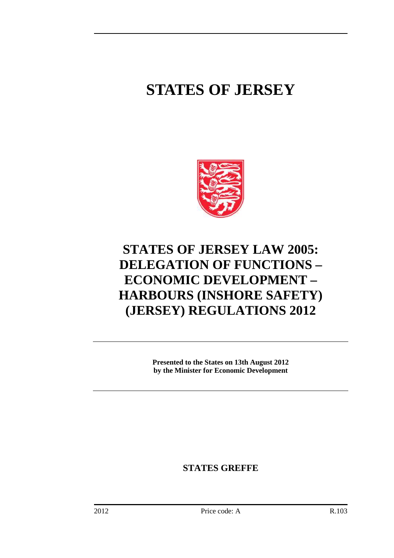## **STATES OF JERSEY**



## **STATES OF JERSEY LAW 2005: DELEGATION OF FUNCTIONS – ECONOMIC DEVELOPMENT – HARBOURS (INSHORE SAFETY) (JERSEY) REGULATIONS 2012**

**Presented to the States on 13th August 2012 by the Minister for Economic Development** 

**STATES GREFFE**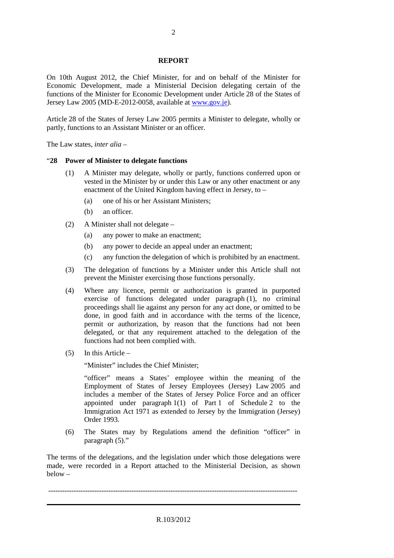## **REPORT**

On 10th August 2012, the Chief Minister, for and on behalf of the Minister for Economic Development, made a Ministerial Decision delegating certain of the functions of the Minister for Economic Development under Article 28 of the States of Jersey Law 2005 (MD-E-2012-0058, available at www.gov.je).

Article 28 of the States of Jersey Law 2005 permits a Minister to delegate, wholly or partly, functions to an Assistant Minister or an officer.

The Law states, *inter alia* –

## "**28 Power of Minister to delegate functions**

- (1) A Minister may delegate, wholly or partly, functions conferred upon or vested in the Minister by or under this Law or any other enactment or any enactment of the United Kingdom having effect in Jersey, to –
	- (a) one of his or her Assistant Ministers;
	- (b) an officer.
- (2) A Minister shall not delegate
	- (a) any power to make an enactment;
	- (b) any power to decide an appeal under an enactment;
	- (c) any function the delegation of which is prohibited by an enactment.
- (3) The delegation of functions by a Minister under this Article shall not prevent the Minister exercising those functions personally.
- (4) Where any licence, permit or authorization is granted in purported exercise of functions delegated under paragraph (1), no criminal proceedings shall lie against any person for any act done, or omitted to be done, in good faith and in accordance with the terms of the licence, permit or authorization, by reason that the functions had not been delegated, or that any requirement attached to the delegation of the functions had not been complied with.
- (5) In this Article –

"Minister" includes the Chief Minister;

"officer" means a States' employee within the meaning of the Employment of States of Jersey Employees (Jersey) Law 2005 and includes a member of the States of Jersey Police Force and an officer appointed under paragraph  $1(1)$  of Part 1 of Schedule 2 to the Immigration Act 1971 as extended to Jersey by the Immigration (Jersey) Order 1993.

(6) The States may by Regulations amend the definition "officer" in paragraph (5)."

The terms of the delegations, and the legislation under which those delegations were made, were recorded in a Report attached to the Ministerial Decision, as shown below –

------------------------------------------------------------------------------------------------------------